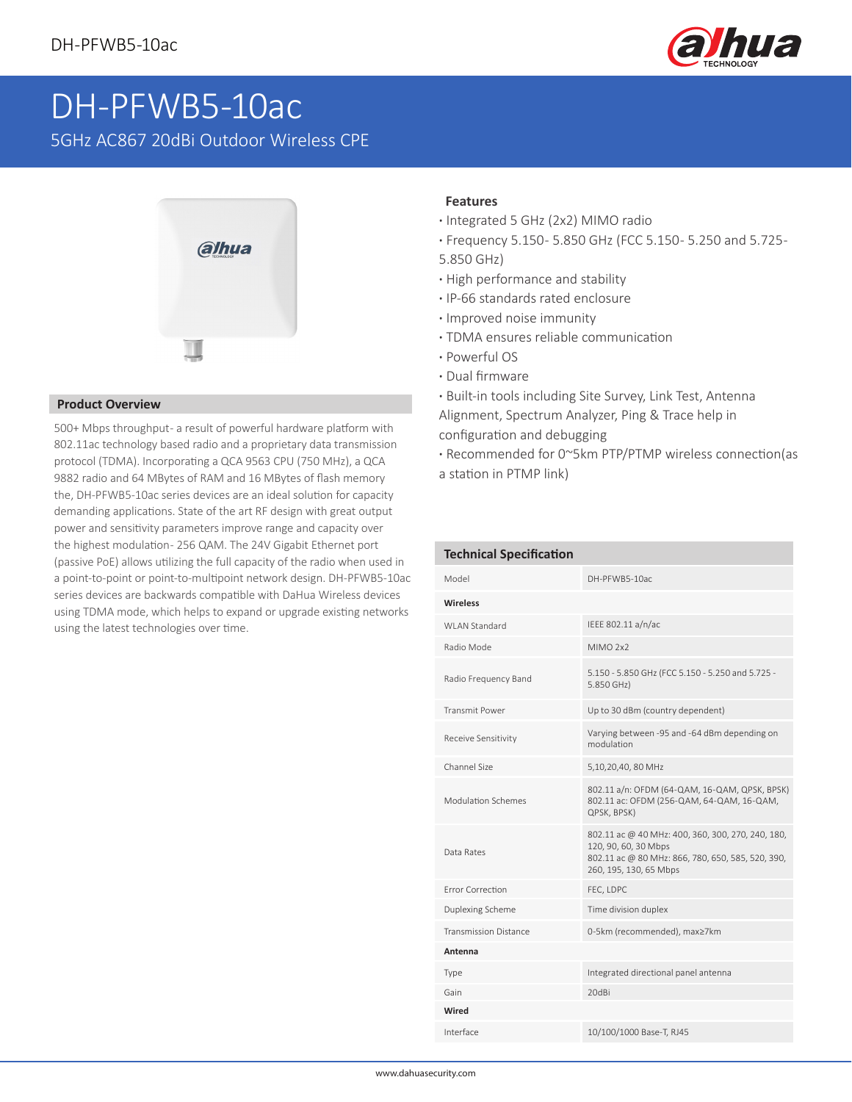

## DH-PFWB5-10ac

5GHz AC867 20dBi Outdoor Wireless CPE



## **Product Overview**

500+ Mbps throughput - a result of powerful hardware platform with 802.11ac technology based radio and a proprietary data transmission protocol (TDMA). Incorporating a QCA 9563 CPU (750 MHz), a QCA 9882 radio and 64 MBytes of RAM and 16 MBytes of flash memory the, DH-PFWB5-10ac series devices are an ideal solution for capacity demanding applications. State of the art RF design with great output power and sensitivity parameters improve range and capacity over the highest modulation- 256 QAM. The 24V Gigabit Ethernet port (passive PoE) allows utilizing the full capacity of the radio when used in a point-to-point or point-to-multipoint network design. DH-PFWB5-10ac series devices are backwards compatible with DaHua Wireless devices using TDMA mode, which helps to expand or upgrade existing networks using the latest technologies over time.

## **Features**

- **·** Integrated 5 GHz (2x2) MIMO radio
- **·** Frequency 5.150 5.850 GHz (FCC 5.150 5.250 and 5.725 -
- 5.850 GHz)
- **·** High performance and stability
- **·** IP-66 standards rated enclosure
- **·** Improved noise immunity
- **·** TDMA ensures reliable communication
- **·** Powerful OS
- **·** Dual firmware
- **·** Built-in tools including Site Survey, Link Test, Antenna Alignment, Spectrum Analyzer, Ping & Trace help in configuration and debugging
- **·** Recommended for 0~5km PTP/PTMP wireless connection(as a station in PTMP link)

| <b>Technical Specification</b> |                                                                                                                                                          |
|--------------------------------|----------------------------------------------------------------------------------------------------------------------------------------------------------|
| Model                          | DH-PFWB5-10ac                                                                                                                                            |
| <b>Wireless</b>                |                                                                                                                                                          |
| WI AN Standard                 | IEEE 802.11 a/n/ac                                                                                                                                       |
| Radio Mode                     | MIMO <sub>2x2</sub>                                                                                                                                      |
| Radio Frequency Band           | 5.150 - 5.850 GHz (FCC 5.150 - 5.250 and 5.725 -<br>5.850 GHz)                                                                                           |
| <b>Transmit Power</b>          | Up to 30 dBm (country dependent)                                                                                                                         |
| Receive Sensitivity            | Varying between -95 and -64 dBm depending on<br>modulation                                                                                               |
| Channel Size                   | 5,10,20,40, 80 MHz                                                                                                                                       |
| Modulation Schemes             | 802.11 a/n: OFDM (64-QAM, 16-QAM, QPSK, BPSK)<br>802.11 ac: OFDM (256-QAM, 64-QAM, 16-QAM,<br>QPSK, BPSK)                                                |
| Data Rates                     | 802.11 ac @ 40 MHz: 400, 360, 300, 270, 240, 180,<br>120, 90, 60, 30 Mbps<br>802.11 ac @ 80 MHz: 866, 780, 650, 585, 520, 390,<br>260, 195, 130, 65 Mbps |
| Frror Correction               | FEC, LDPC                                                                                                                                                |
| Duplexing Scheme               | Time division duplex                                                                                                                                     |
| <b>Transmission Distance</b>   | 0-5km (recommended), max≥7km                                                                                                                             |
| Antenna                        |                                                                                                                                                          |
| Type                           | Integrated directional panel antenna                                                                                                                     |
| Gain                           | 20dBi                                                                                                                                                    |
| Wired                          |                                                                                                                                                          |
| Interface                      | 10/100/1000 Base-T, RJ45                                                                                                                                 |
|                                |                                                                                                                                                          |